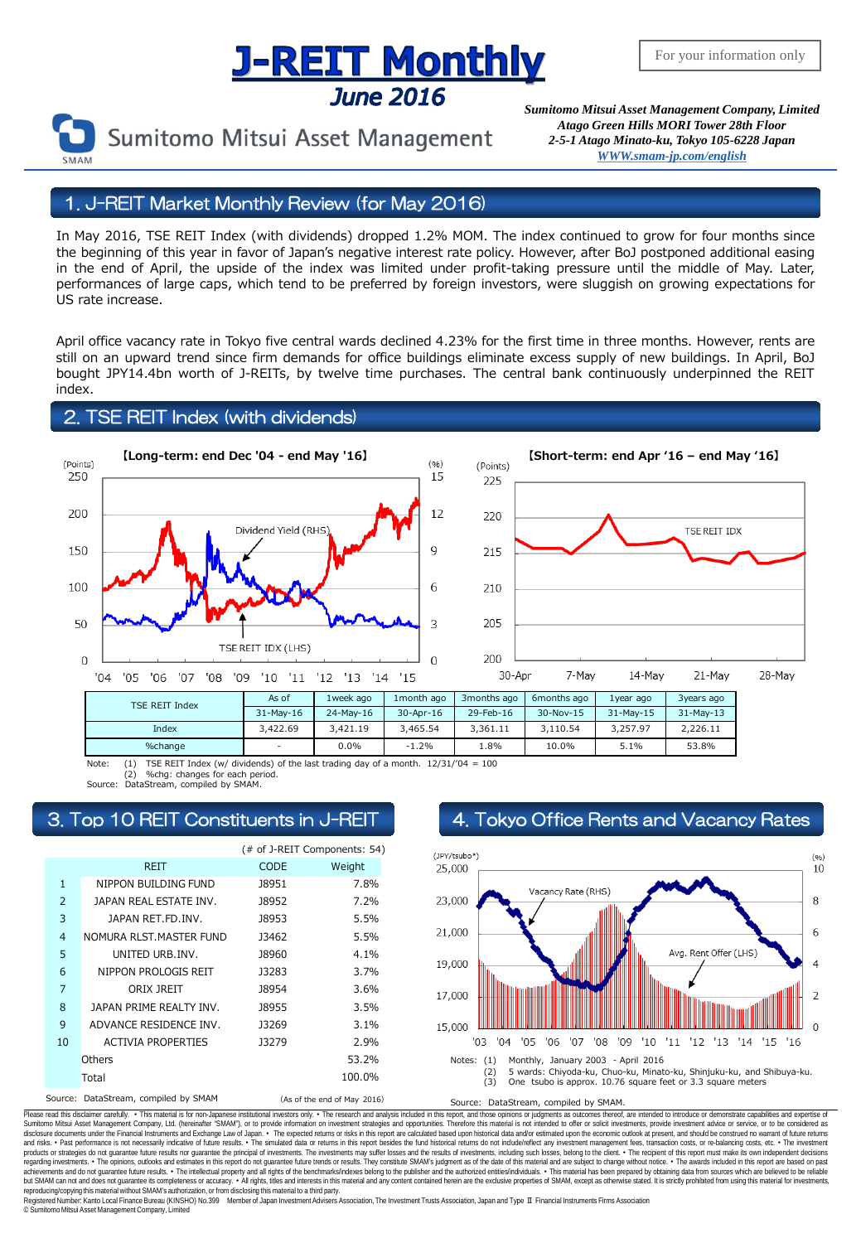## **J-REIT Monthly June 2016**



Sumitomo Mitsui Asset Management

*Sumitomo Mitsui Asset Management Company, Limited Atago Green Hills MORI Tower 28th Floor 2-5-1 Atago Minato-ku, Tokyo 105-6228 Japa[n](mailto:English@smam-jp.com) [WWW.smam-jp.com/english](http://www.smam-jp.com/english)*

#### 1. J-REIT Market Monthly Review (for May 2016)

In May 2016, TSE REIT Index (with dividends) dropped 1.2% MOM. The index continued to grow for four months since the beginning of this year in favor of Japan's negative interest rate policy. However, after BoJ postponed additional easing in the end of April, the upside of the index was limited under profit-taking pressure until the middle of May. Later, performances of large caps, which tend to be preferred by foreign investors, were sluggish on growing expectations for US rate increase.

April office vacancy rate in Tokyo five central wards declined 4.23% for the first time in three months. However, rents are still on an upward trend since firm demands for office buildings eliminate excess supply of new buildings. In April, BoJ bought JPY14.4bn worth of J-REITs, by twelve time purchases. The central bank continuously underpinned the REIT index.

#### 2. TSE REIT Index (with dividends)





| <b>TSE REIT Index</b> | As of       | 1week ago | 1month ago | 3months ago | 6months ago | 1vear ago | 3years ago  |
|-----------------------|-------------|-----------|------------|-------------|-------------|-----------|-------------|
|                       | $31-Mav-16$ | 24-May-16 | 30-Apr-16  | 29-Feb-16   | 30-Nov-15   | 31-May-15 | $31-Mav-13$ |
| Index                 | 3,422.69    | 3.421.19  | 3.465.54   | 3.361.11    | 3.110.54    | 3.257.97  | 2.226.11    |
| %change               | -           | 0.0%      | $-1.2%$    | 1.8%        | 10.0%       | 5.1%      | 53.8%       |

Note: (1) TSE REIT Index (w/ dividends) of the last trading day of a month.  $12/31/704 = 100$ %chg: changes for each period

Source: DataStream, compiled by SMAM.

|                |                                     | (# of J-REIT Components: 54) |         |
|----------------|-------------------------------------|------------------------------|---------|
|                | <b>REIT</b>                         | <b>CODE</b>                  | Weight  |
| $\mathbf{1}$   | NIPPON BUILDING FUND                | <b>J8951</b>                 | 7.8%    |
| $\overline{2}$ | JAPAN REAL ESTATE INV.              | <b>J8952</b>                 | 7.2%    |
| 3              | JAPAN RET.FD.INV.                   | <b>J8953</b>                 | 5.5%    |
| $\overline{4}$ | NOMURA RLST. MASTER FUND            | 13462                        | 5.5%    |
| 5              | UNITED URB.INV.                     | <b>J8960</b>                 | $4.1\%$ |
| 6              | NIPPON PROLOGIS REIT                | J3283                        | 3.7%    |
| 7              | ORIX JREIT                          | <b>J8954</b>                 | 3.6%    |
| 8              | JAPAN PRIME REALTY INV.             | 18955                        | 3.5%    |
| 9              | ADVANCE RESIDENCE INV.              | J3269                        | $3.1\%$ |
| 10             | <b>ACTIVIA PROPERTIES</b>           | <b>J3279</b>                 | 2.9%    |
|                | Others                              |                              | 53.2%   |
|                | Total                               |                              | 100.0%  |
|                | Course DataCtroppe semplied by CMAM |                              |         |

### 3. Top 10 REIT Constituents in J-REIT 4. Tokyo Office Rents and Vacancy Rates



(As of the end of May 2016) Source: DataStream, compiled by SMAM.

Please read this disclaimer carefuly. • This material is for non-Japanese institutional investors only. • The research and analysis included in this report, and those opinions or judgments as outcomes thereof, are intended disclosure documents under the Financial Instruments and Exchange Law of Japan. • The expected relums or risks in this report are calculated based upon historial data and/or estimated upon the economic outlook at present, products or strategies do not guarantee future results nor guarantee the principal of investments. The investments may suffer losses and the results of investments, including such losses, belong to the client. . The recipi regarding investments. • The opinions, outlooks and estimates in this report do not guarantee future trends or results. They constitute SMAM's judgment as of the date of this material and are subject to change without noti reproducing/copying this material without SMAM's authorization, or from disclosing thismaterial to a third party.

egistered Number: Kanto Local Finance Bureau (KINSHO) No.399 Member of Japan Investment Advisers Association, The Investment Trusts Association, Japan and Type Ⅱ Financial Instruments Firms Association © SumitomoMitsui Asset Management Company, Limited